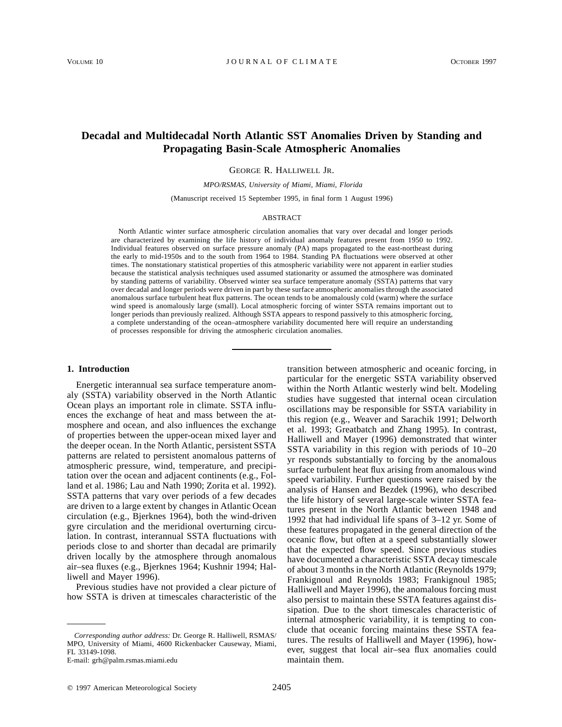# **Decadal and Multidecadal North Atlantic SST Anomalies Driven by Standing and Propagating Basin-Scale Atmospheric Anomalies**

GEORGE R. HALLIWELL JR.

*MPO/RSMAS, University of Miami, Miami, Florida*

(Manuscript received 15 September 1995, in final form 1 August 1996)

### ABSTRACT

North Atlantic winter surface atmospheric circulation anomalies that vary over decadal and longer periods are characterized by examining the life history of individual anomaly features present from 1950 to 1992. Individual features observed on surface pressure anomaly (PA) maps propagated to the east-northeast during the early to mid-1950s and to the south from 1964 to 1984. Standing PA fluctuations were observed at other times. The nonstationary statistical properties of this atmospheric variability were not apparent in earlier studies because the statistical analysis techniques used assumed stationarity or assumed the atmosphere was dominated by standing patterns of variability. Observed winter sea surface temperature anomaly (SSTA) patterns that vary over decadal and longer periods were driven in part by these surface atmospheric anomalies through the associated anomalous surface turbulent heat flux patterns. The ocean tends to be anomalously cold (warm) where the surface wind speed is anomalously large (small). Local atmospheric forcing of winter SSTA remains important out to longer periods than previously realized. Although SSTA appears to respond passively to this atmospheric forcing, a complete understanding of the ocean–atmosphere variability documented here will require an understanding of processes responsible for driving the atmospheric circulation anomalies.

## **1. Introduction**

Energetic interannual sea surface temperature anomaly (SSTA) variability observed in the North Atlantic Ocean plays an important role in climate. SSTA influences the exchange of heat and mass between the atmosphere and ocean, and also influences the exchange of properties between the upper-ocean mixed layer and the deeper ocean. In the North Atlantic, persistent SSTA patterns are related to persistent anomalous patterns of atmospheric pressure, wind, temperature, and precipitation over the ocean and adjacent continents (e.g., Folland et al. 1986; Lau and Nath 1990; Zorita et al. 1992). SSTA patterns that vary over periods of a few decades are driven to a large extent by changes in Atlantic Ocean circulation (e.g., Bjerknes 1964), both the wind-driven gyre circulation and the meridional overturning circulation. In contrast, interannual SSTA fluctuations with periods close to and shorter than decadal are primarily driven locally by the atmosphere through anomalous air–sea fluxes (e.g., Bjerknes 1964; Kushnir 1994; Halliwell and Mayer 1996).

Previous studies have not provided a clear picture of how SSTA is driven at timescales characteristic of the

E-mail: grh@palm.rsmas.miami.edu

transition between atmospheric and oceanic forcing, in particular for the energetic SSTA variability observed within the North Atlantic westerly wind belt. Modeling studies have suggested that internal ocean circulation oscillations may be responsible for SSTA variability in this region (e.g., Weaver and Sarachik 1991; Delworth et al. 1993; Greatbatch and Zhang 1995). In contrast, Halliwell and Mayer (1996) demonstrated that winter SSTA variability in this region with periods of 10–20 yr responds substantially to forcing by the anomalous surface turbulent heat flux arising from anomalous wind speed variability. Further questions were raised by the analysis of Hansen and Bezdek (1996), who described the life history of several large-scale winter SSTA features present in the North Atlantic between 1948 and 1992 that had individual life spans of 3–12 yr. Some of these features propagated in the general direction of the oceanic flow, but often at a speed substantially slower that the expected flow speed. Since previous studies have documented a characteristic SSTA decay timescale of about 3 months in the North Atlantic (Reynolds 1979; Frankignoul and Reynolds 1983; Frankignoul 1985; Halliwell and Mayer 1996), the anomalous forcing must also persist to maintain these SSTA features against dissipation. Due to the short timescales characteristic of internal atmospheric variability, it is tempting to conclude that oceanic forcing maintains these SSTA features. The results of Halliwell and Mayer (1996), however, suggest that local air–sea flux anomalies could maintain them.

*Corresponding author address:* Dr. George R. Halliwell, RSMAS/ MPO, University of Miami, 4600 Rickenbacker Causeway, Miami, FL 33149-1098.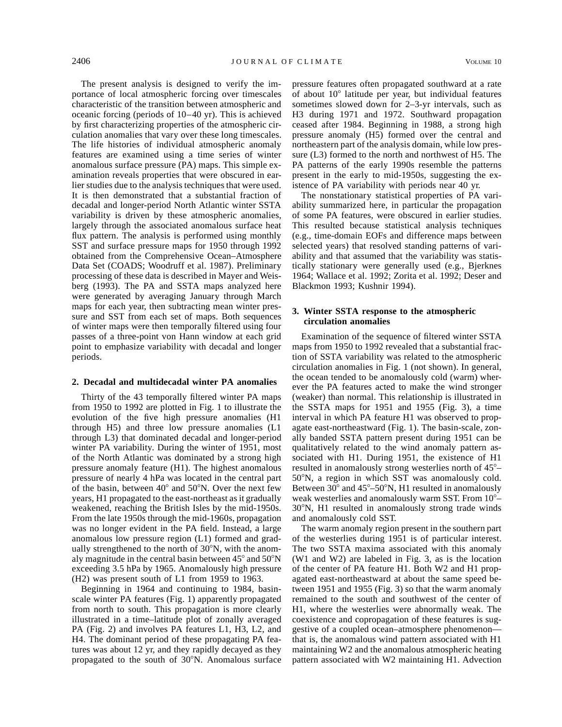The present analysis is designed to verify the importance of local atmospheric forcing over timescales characteristic of the transition between atmospheric and oceanic forcing (periods of 10–40 yr). This is achieved by first characterizing properties of the atmospheric circulation anomalies that vary over these long timescales. The life histories of individual atmospheric anomaly features are examined using a time series of winter anomalous surface pressure (PA) maps. This simple examination reveals properties that were obscured in earlier studies due to the analysis techniques that were used. It is then demonstrated that a substantial fraction of decadal and longer-period North Atlantic winter SSTA variability is driven by these atmospheric anomalies, largely through the associated anomalous surface heat flux pattern. The analysis is performed using monthly SST and surface pressure maps for 1950 through 1992 obtained from the Comprehensive Ocean–Atmosphere Data Set (COADS; Woodruff et al. 1987). Preliminary processing of these data is described in Mayer and Weisberg (1993). The PA and SSTA maps analyzed here were generated by averaging January through March maps for each year, then subtracting mean winter pressure and SST from each set of maps. Both sequences of winter maps were then temporally filtered using four passes of a three-point von Hann window at each grid point to emphasize variability with decadal and longer periods.

#### **2. Decadal and multidecadal winter PA anomalies**

Thirty of the 43 temporally filtered winter PA maps from 1950 to 1992 are plotted in Fig. 1 to illustrate the evolution of the five high pressure anomalies (H1 through H5) and three low pressure anomalies (L1 through L3) that dominated decadal and longer-period winter PA variability. During the winter of 1951, most of the North Atlantic was dominated by a strong high pressure anomaly feature (H1). The highest anomalous pressure of nearly 4 hPa was located in the central part of the basin, between  $40^{\circ}$  and  $50^{\circ}$ N. Over the next few years, H1 propagated to the east-northeast as it gradually weakened, reaching the British Isles by the mid-1950s. From the late 1950s through the mid-1960s, propagation was no longer evident in the PA field. Instead, a large anomalous low pressure region (L1) formed and gradually strengthened to the north of  $30^{\circ}$ N, with the anomaly magnitude in the central basin between  $45^{\circ}$  and  $50^{\circ}$ N exceeding 3.5 hPa by 1965. Anomalously high pressure (H2) was present south of L1 from 1959 to 1963.

Beginning in 1964 and continuing to 1984, basinscale winter PA features (Fig. 1) apparently propagated from north to south. This propagation is more clearly illustrated in a time–latitude plot of zonally averaged PA (Fig. 2) and involves PA features L1, H3, L2, and H4. The dominant period of these propagating PA features was about 12 yr, and they rapidly decayed as they propagated to the south of 30°N. Anomalous surface

pressure features often propagated southward at a rate of about  $10^{\circ}$  latitude per year, but individual features sometimes slowed down for 2–3-yr intervals, such as H3 during 1971 and 1972. Southward propagation ceased after 1984. Beginning in 1988, a strong high pressure anomaly (H5) formed over the central and northeastern part of the analysis domain, while low pressure (L3) formed to the north and northwest of H5. The PA patterns of the early 1990s resemble the patterns present in the early to mid-1950s, suggesting the existence of PA variability with periods near 40 yr.

The nonstationary statistical properties of PA variability summarized here, in particular the propagation of some PA features, were obscured in earlier studies. This resulted because statistical analysis techniques (e.g., time-domain EOFs and difference maps between selected years) that resolved standing patterns of variability and that assumed that the variability was statistically stationary were generally used (e.g., Bjerknes 1964; Wallace et al. 1992; Zorita et al. 1992; Deser and Blackmon 1993; Kushnir 1994).

# **3. Winter SSTA response to the atmospheric circulation anomalies**

Examination of the sequence of filtered winter SSTA maps from 1950 to 1992 revealed that a substantial fraction of SSTA variability was related to the atmospheric circulation anomalies in Fig. 1 (not shown). In general, the ocean tended to be anomalously cold (warm) wherever the PA features acted to make the wind stronger (weaker) than normal. This relationship is illustrated in the SSTA maps for 1951 and 1955 (Fig. 3), a time interval in which PA feature H1 was observed to propagate east-northeastward (Fig. 1). The basin-scale, zonally banded SSTA pattern present during 1951 can be qualitatively related to the wind anomaly pattern associated with H1. During 1951, the existence of H1 resulted in anomalously strong westerlies north of  $45^{\circ}$ – 508N, a region in which SST was anomalously cold. Between  $30^{\circ}$  and  $45^{\circ}$ – $50^{\circ}$ N, H1 resulted in anomalously weak westerlies and anomalously warm SST. From 10°-308N, H1 resulted in anomalously strong trade winds and anomalously cold SST.

The warm anomaly region present in the southern part of the westerlies during 1951 is of particular interest. The two SSTA maxima associated with this anomaly (W1 and W2) are labeled in Fig. 3, as is the location of the center of PA feature H1. Both W2 and H1 propagated east-northeastward at about the same speed between 1951 and 1955 (Fig. 3) so that the warm anomaly remained to the south and southwest of the center of H1, where the westerlies were abnormally weak. The coexistence and copropagation of these features is suggestive of a coupled ocean–atmosphere phenomenon that is, the anomalous wind pattern associated with H1 maintaining W2 and the anomalous atmospheric heating pattern associated with W2 maintaining H1. Advection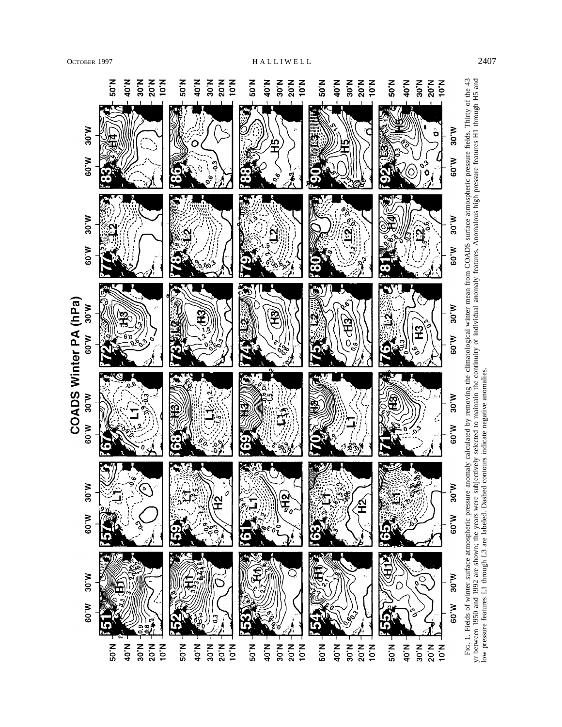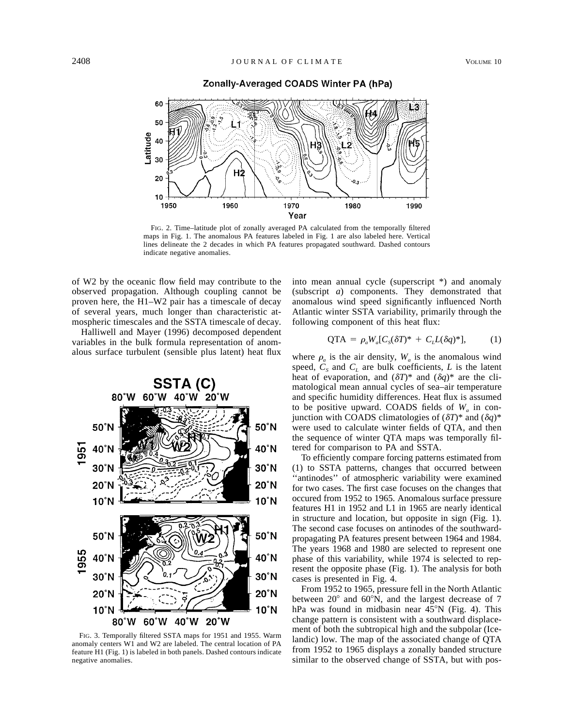

Zonally-Averaged COADS Winter PA (hPa)

FIG. 2. Time–latitude plot of zonally averaged PA calculated from the temporally filtered maps in Fig. 1. The anomalous PA features labeled in Fig. 1 are also labeled here. Vertical lines delineate the 2 decades in which PA features propagated southward. Dashed contours indicate negative anomalies.

of W2 by the oceanic flow field may contribute to the observed propagation. Although coupling cannot be proven here, the H1–W2 pair has a timescale of decay of several years, much longer than characteristic atmospheric timescales and the SSTA timescale of decay.

Halliwell and Mayer (1996) decomposed dependent variables in the bulk formula representation of anomalous surface turbulent (sensible plus latent) heat flux



FIG. 3. Temporally filtered SSTA maps for 1951 and 1955. Warm anomaly centers W1 and W2 are labeled. The central location of PA feature H1 (Fig. 1) is labeled in both panels. Dashed contours indicate negative anomalies.

into mean annual cycle (superscript \*) and anomaly (subscript *a*) components. They demonstrated that anomalous wind speed significantly influenced North Atlantic winter SSTA variability, primarily through the following component of this heat flux:

$$
QTA = \rho_a W_a [C_s(\delta T)^* + C_L L(\delta q)^*], \tag{1}
$$

where  $\rho_a$  is the air density,  $W_a$  is the anomalous wind speed,  $C_s$  and  $C_l$  are bulk coefficients,  $L$  is the latent heat of evaporation, and  $(\delta T)^*$  and  $(\delta q)^*$  are the climatological mean annual cycles of sea–air temperature and specific humidity differences. Heat flux is assumed to be positive upward. COADS fields of  $W_a$  in conjunction with COADS climatologies of  $(\delta T)^*$  and  $(\delta q)^*$ were used to calculate winter fields of QTA, and then the sequence of winter QTA maps was temporally filtered for comparison to PA and SSTA.

To efficiently compare forcing patterns estimated from (1) to SSTA patterns, changes that occurred between "antinodes" of atmospheric variability were examined for two cases. The first case focuses on the changes that occured from 1952 to 1965. Anomalous surface pressure features H1 in 1952 and L1 in 1965 are nearly identical in structure and location, but opposite in sign (Fig. 1). The second case focuses on antinodes of the southwardpropagating PA features present between 1964 and 1984. The years 1968 and 1980 are selected to represent one phase of this variability, while 1974 is selected to represent the opposite phase (Fig. 1). The analysis for both cases is presented in Fig. 4.

From 1952 to 1965, pressure fell in the North Atlantic between  $20^{\circ}$  and  $60^{\circ}$ N, and the largest decrease of 7 hPa was found in midbasin near  $45^{\circ}$ N (Fig. 4). This change pattern is consistent with a southward displacement of both the subtropical high and the subpolar (Icelandic) low. The map of the associated change of QTA from 1952 to 1965 displays a zonally banded structure similar to the observed change of SSTA, but with pos-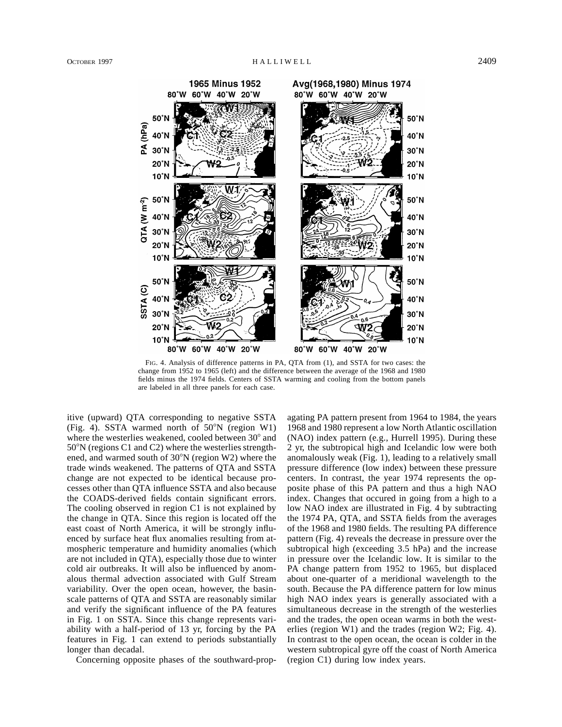

FIG. 4. Analysis of difference patterns in PA, QTA from (1), and SSTA for two cases: the change from 1952 to 1965 (left) and the difference between the average of the 1968 and 1980 fields minus the 1974 fields. Centers of SSTA warming and cooling from the bottom panels

itive (upward) QTA corresponding to negative SSTA (Fig. 4). SSTA warmed north of  $50^{\circ}$ N (region W1) where the westerlies weakened, cooled between  $30^{\circ}$  and  $50^{\circ}$ N (regions C1 and C2) where the westerlies strengthened, and warmed south of  $30^{\circ}$ N (region W2) where the trade winds weakened. The patterns of QTA and SSTA change are not expected to be identical because processes other than QTA influence SSTA and also because the COADS-derived fields contain significant errors. The cooling observed in region C1 is not explained by the change in QTA. Since this region is located off the east coast of North America, it will be strongly influenced by surface heat flux anomalies resulting from atmospheric temperature and humidity anomalies (which are not included in QTA), especially those due to winter cold air outbreaks. It will also be influenced by anomalous thermal advection associated with Gulf Stream variability. Over the open ocean, however, the basinscale patterns of QTA and SSTA are reasonably similar and verify the significant influence of the PA features in Fig. 1 on SSTA. Since this change represents variability with a half-period of 13 yr, forcing by the PA features in Fig. 1 can extend to periods substantially longer than decadal.

are labeled in all three panels for each case.

Concerning opposite phases of the southward-prop-

agating PA pattern present from 1964 to 1984, the years 1968 and 1980 represent a low North Atlantic oscillation (NAO) index pattern (e.g., Hurrell 1995). During these 2 yr, the subtropical high and Icelandic low were both anomalously weak (Fig. 1), leading to a relatively small pressure difference (low index) between these pressure centers. In contrast, the year 1974 represents the opposite phase of this PA pattern and thus a high NAO index. Changes that occured in going from a high to a low NAO index are illustrated in Fig. 4 by subtracting the 1974 PA, QTA, and SSTA fields from the averages of the 1968 and 1980 fields. The resulting PA difference pattern (Fig. 4) reveals the decrease in pressure over the subtropical high (exceeding 3.5 hPa) and the increase in pressure over the Icelandic low. It is similar to the PA change pattern from 1952 to 1965, but displaced about one-quarter of a meridional wavelength to the south. Because the PA difference pattern for low minus high NAO index years is generally associated with a simultaneous decrease in the strength of the westerlies and the trades, the open ocean warms in both the westerlies (region W1) and the trades (region W2; Fig. 4). In contrast to the open ocean, the ocean is colder in the western subtropical gyre off the coast of North America (region C1) during low index years.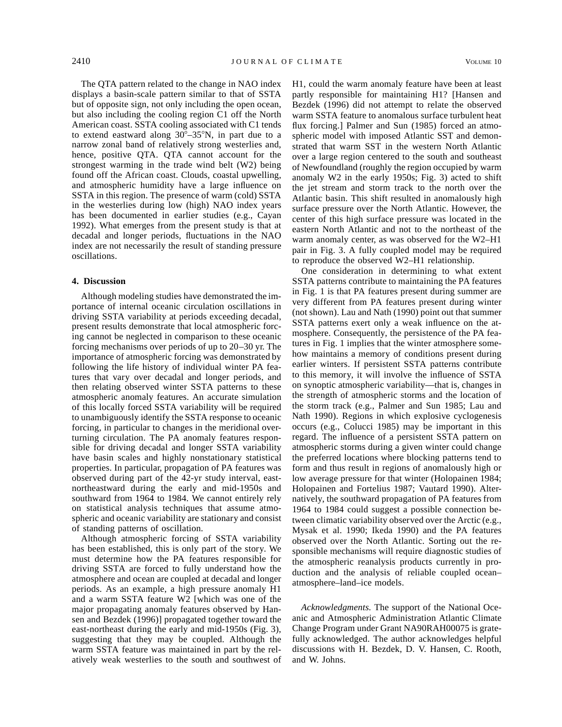The QTA pattern related to the change in NAO index displays a basin-scale pattern similar to that of SSTA but of opposite sign, not only including the open ocean, but also including the cooling region C1 off the North American coast. SSTA cooling associated with C1 tends to extend eastward along  $30^{\circ} - 35^{\circ}$ N, in part due to a narrow zonal band of relatively strong westerlies and, hence, positive QTA. QTA cannot account for the strongest warming in the trade wind belt (W2) being found off the African coast. Clouds, coastal upwelling, and atmospheric humidity have a large influence on SSTA in this region. The presence of warm (cold) SSTA in the westerlies during low (high) NAO index years has been documented in earlier studies (e.g., Cayan 1992). What emerges from the present study is that at decadal and longer periods, fluctuations in the NAO index are not necessarily the result of standing pressure oscillations.

## **4. Discussion**

Although modeling studies have demonstrated the importance of internal oceanic circulation oscillations in driving SSTA variability at periods exceeding decadal, present results demonstrate that local atmospheric forcing cannot be neglected in comparison to these oceanic forcing mechanisms over periods of up to 20–30 yr. The importance of atmospheric forcing was demonstrated by following the life history of individual winter PA features that vary over decadal and longer periods, and then relating observed winter SSTA patterns to these atmospheric anomaly features. An accurate simulation of this locally forced SSTA variability will be required to unambiguously identify the SSTA response to oceanic forcing, in particular to changes in the meridional overturning circulation. The PA anomaly features responsible for driving decadal and longer SSTA variability have basin scales and highly nonstationary statistical properties. In particular, propagation of PA features was observed during part of the 42-yr study interval, eastnortheastward during the early and mid-1950s and southward from 1964 to 1984. We cannot entirely rely on statistical analysis techniques that assume atmospheric and oceanic variability are stationary and consist of standing patterns of oscillation.

Although atmospheric forcing of SSTA variability has been established, this is only part of the story. We must determine how the PA features responsible for driving SSTA are forced to fully understand how the atmosphere and ocean are coupled at decadal and longer periods. As an example, a high pressure anomaly H1 and a warm SSTA feature W2 [which was one of the major propagating anomaly features observed by Hansen and Bezdek (1996)] propagated together toward the east-northeast during the early and mid-1950s (Fig. 3), suggesting that they may be coupled. Although the warm SSTA feature was maintained in part by the relatively weak westerlies to the south and southwest of

H1, could the warm anomaly feature have been at least partly responsible for maintaining H1? [Hansen and Bezdek (1996) did not attempt to relate the observed warm SSTA feature to anomalous surface turbulent heat flux forcing.] Palmer and Sun (1985) forced an atmospheric model with imposed Atlantic SST and demonstrated that warm SST in the western North Atlantic over a large region centered to the south and southeast of Newfoundland (roughly the region occupied by warm anomaly W2 in the early 1950s; Fig. 3) acted to shift the jet stream and storm track to the north over the Atlantic basin. This shift resulted in anomalously high surface pressure over the North Atlantic. However, the center of this high surface pressure was located in the eastern North Atlantic and not to the northeast of the warm anomaly center, as was observed for the W2–H1 pair in Fig. 3. A fully coupled model may be required to reproduce the observed W2–H1 relationship.

One consideration in determining to what extent SSTA patterns contribute to maintaining the PA features in Fig. 1 is that PA features present during summer are very different from PA features present during winter (not shown). Lau and Nath (1990) point out that summer SSTA patterns exert only a weak influence on the atmosphere. Consequently, the persistence of the PA features in Fig. 1 implies that the winter atmosphere somehow maintains a memory of conditions present during earlier winters. If persistent SSTA patterns contribute to this memory, it will involve the influence of SSTA on synoptic atmospheric variability—that is, changes in the strength of atmospheric storms and the location of the storm track (e.g., Palmer and Sun 1985; Lau and Nath 1990). Regions in which explosive cyclogenesis occurs (e.g., Colucci 1985) may be important in this regard. The influence of a persistent SSTA pattern on atmospheric storms during a given winter could change the preferred locations where blocking patterns tend to form and thus result in regions of anomalously high or low average pressure for that winter (Holopainen 1984; Holopainen and Fortelius 1987; Vautard 1990). Alternatively, the southward propagation of PA features from 1964 to 1984 could suggest a possible connection between climatic variability observed over the Arctic (e.g., Mysak et al. 1990; Ikeda 1990) and the PA features observed over the North Atlantic. Sorting out the responsible mechanisms will require diagnostic studies of the atmospheric reanalysis products currently in production and the analysis of reliable coupled ocean– atmosphere–land–ice models.

*Acknowledgments.* The support of the National Oceanic and Atmospheric Administration Atlantic Climate Change Program under Grant NA90RAH00075 is gratefully acknowledged. The author acknowledges helpful discussions with H. Bezdek, D. V. Hansen, C. Rooth, and W. Johns.